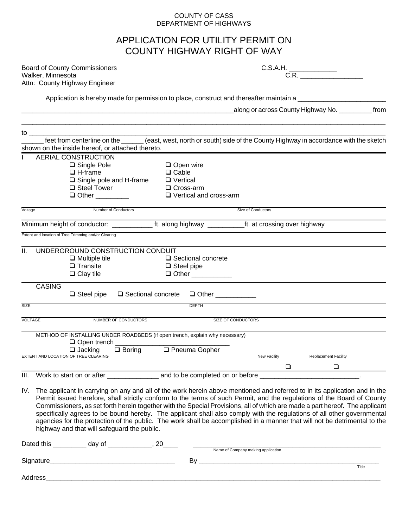#### COUNTY OF CASS DEPARTMENT OF HIGHWAYS

## APPLICATION FOR UTILITY PERMIT ON COUNTY HIGHWAY RIGHT OF WAY

| <b>Board of County Commissioners</b> | C.S.A.H. |  |  |
|--------------------------------------|----------|--|--|
| Walker, Minnesota                    |          |  |  |
| Attn: County Highway Engineer        |          |  |  |

| ./ |  |
|----|--|
|    |  |
|    |  |

Application is hereby made for permission to place, construct and thereafter maintain a \_\_\_\_\_\_\_\_\_\_\_\_\_\_\_\_\_\_\_\_\_

\_\_\_\_\_\_\_\_\_\_\_\_\_\_\_\_\_\_\_\_\_\_\_\_\_\_\_\_\_\_\_\_\_\_\_\_\_\_\_\_\_\_\_\_\_\_\_\_\_\_\_\_\_\_\_\_\_\_along or across County Highway No. \_\_\_\_\_\_\_\_\_ from

| to $\equiv$    |                                                                                                                             |                                                        |                    |                             |
|----------------|-----------------------------------------------------------------------------------------------------------------------------|--------------------------------------------------------|--------------------|-----------------------------|
|                | feet from centerline on the ______ (east, west, north or south) side of the County Highway in accordance with the sketch    |                                                        |                    |                             |
|                | shown on the inside hereof, or attached thereto.                                                                            |                                                        |                    |                             |
|                | AERIAL CONSTRUCTION                                                                                                         |                                                        |                    |                             |
|                | $\square$ Single Pole                                                                                                       | $\Box$ Open wire                                       |                    |                             |
|                | $\Box$ H-frame                                                                                                              | $\Box$ Cable                                           |                    |                             |
|                | $\Box$ Single pole and H-frame                                                                                              | $\Box$ Vertical                                        |                    |                             |
|                | $\square$ Steel Tower                                                                                                       | □ Cross-arm                                            |                    |                             |
|                | $\Box$ Other                                                                                                                | $\Box$ Vertical and cross-arm                          |                    |                             |
| Voltage        | Number of Conductors                                                                                                        |                                                        | Size of Conductors |                             |
|                |                                                                                                                             |                                                        |                    |                             |
|                | Extent and location of Tree Trimming and/or Clearing                                                                        |                                                        |                    |                             |
|                |                                                                                                                             |                                                        |                    |                             |
| ΙΙ.            | UNDERGROUND CONSTRUCTION CONDUIT                                                                                            |                                                        |                    |                             |
|                | $\Box$ Multiple tile<br>$\Box$ Transite                                                                                     | $\Box$ Sectional concrete                              |                    |                             |
|                |                                                                                                                             | $\Box$ Steel pipe                                      |                    |                             |
|                | $\Box$ Clay tile                                                                                                            | □ Other ___________                                    |                    |                             |
|                | <b>CASING</b>                                                                                                               |                                                        |                    |                             |
|                | $\Box$ Steel pipe                                                                                                           | $\Box$ Sectional concrete<br>□ Other <u>__________</u> |                    |                             |
| SIZE           |                                                                                                                             | <b>DEPTH</b>                                           |                    |                             |
| <b>VOLTAGE</b> | NUMBER OF CONDUCTORS                                                                                                        |                                                        | SIZE OF CONDUCTORS |                             |
|                |                                                                                                                             |                                                        |                    |                             |
|                | METHOD OF INSTALLING UNDER ROADBEDS (if open trench, explain why necessary)<br>$\Box$ Open trench                           |                                                        |                    |                             |
|                | $\Box$ Boring<br>$\Box$ Jacking                                                                                             | □ Pneuma Gopher                                        |                    |                             |
|                | EXTENT AND LOCATION OF TREE CLEARING                                                                                        |                                                        | New Facility       | <b>Replacement Facility</b> |
|                |                                                                                                                             |                                                        | □                  | $\Box$                      |
| III.           |                                                                                                                             |                                                        |                    |                             |
|                |                                                                                                                             |                                                        |                    |                             |
| IV.            | The applicant in carrying on any and all of the work herein above mentioned and referred to in its application and in the   |                                                        |                    |                             |
|                | Permit issued herefore, shall strictly conform to the terms of such Permit, and the regulations of the Board of County      |                                                        |                    |                             |
|                | Commissioners, as set forth herein together with the Special Provisions, all of which are made a part hereof. The applicant |                                                        |                    |                             |
|                | specifically agrees to be bound hereby. The applicant shall also comply with the regulations of all other governmental      |                                                        |                    |                             |
|                | agencies for the protection of the public. The work shall be accomplished in a manner that will not be detrimental to the   |                                                        |                    |                             |
|                | highway and that will safeguard the public.                                                                                 |                                                        |                    |                             |
|                | Dated this ____________ day of ______________, 20_____                                                                      |                                                        |                    |                             |
|                |                                                                                                                             |                                                        |                    |                             |
|                |                                                                                                                             |                                                        |                    |                             |
|                |                                                                                                                             |                                                        |                    | Title                       |
|                | Address                                                                                                                     |                                                        |                    |                             |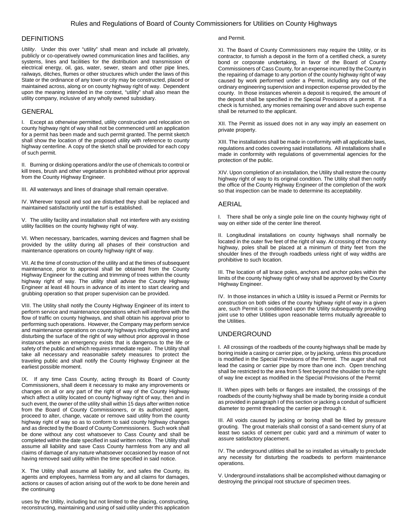#### **DEFINITIONS**

*Utility*. Under this over "utility" shall mean and include all privately, publicly or co-operatively owned communication lines and facilities, any systems, lines and facilities for the distribution and transmission of electrical energy, oil, gas, water, sewer, steam and other pipe lines, railways, ditches, flumes or other structures which under the laws of this State or the ordinance of any town or city may be constructed, placed or maintained across, along or on county highway right of way. Dependent upon the meaning intended in the context, "utility" shall also mean the utility company, inclusive of any wholly owned subsidiary.

#### GENERAL

I. Except as otherwise permitted, utility construction and relocation on county highway right of way shall not be commenced until an application for a permit has been made and such permit granted. The permit sketch shall show the location of the proposed utility with reference to county highway centerline. A copy of the sketch shall be provided for each copy of such permit.

II. Burning or disking operations and/or the use of chemicals to control or kill trees, brush and other vegetation is prohibited without prior approval from the County Highway Engineer.

III. All waterways and lines of drainage shall remain operative.

IV. Wherever topsoil and sod are disturbed they shall be replaced and maintained satisfactorily until the turf is established.

V. The utility facility and installation shall not interfere with any existing utility facilities on the county highway right of way.

VI. When necessary, barricades, warning devices and flagmen shall be provided by the utility during all phases of their construction and maintenance operations on county highway right of way.

VII. At the time of construction of the utility and at the times of subsequent maintenance, prior to approval shall be obtained from the County Highway Engineer for the cutting and trimming of trees within the county highway right of way. The utility shall advise the County Highway Engineer at least 48 hours in advance of its intent to start clearing and grubbing operation so that proper supervision can be provided.

VIII. The Utility shall notify the County Highway Engineer of its intent to perform service and maintenance operations which will interfere with the flow of traffic on county highways, and shall obtain his approval prior to performing such operations. However, the Company may perform service and maintenance operations on county highways including opening and disturbing the surface of the right of way without prior approval in those instances where an emergency exists that is dangerous to the life or safety of the public and which requires immediate repair. The Utility shall take all necessary and reasonable safety measures to protect the traveling public and shall notify the County Highway Engineer at the earliest possible moment.

IX. If any time Cass County, acting through its Board of County Commissioners, shall deem it necessary to make any improvements or changes on all or any part of the right of way of the County Highway which affect a utility located on county highway right of way, then and in such event, the owner of the utility shall within 15 days after written notice from the Board of County Commissioners, or its authorized agent, proceed to alter, change, vacate or remove said utility from the county highway right of way so as to conform to said county highway changes and as directed by the Board of County Commissioners. Such work shall be done without any cost whatsoever to Cass County and shall be completed within the date specified in said written notice. The Utility shall assume all liability and save Cass County harmless from any and all claims of damage of any nature whatsoever occasioned by reason of not having removed said utility within the time specified in said notice.

X. The Utility shall assume all liability for, and safes the County, its agents and employees, harmless from any and all claims for damages, actions or causes of action arising out of the work to be done herein and the continuing

uses by the Utility, including but not limited to the placing, constructing, reconstructing, maintaining and using of said utility under this application

#### and Permit.

XI. The Board of County Commissioners may require the Utility, or its contractor, to furnish a deposit in the form of a certified check, a surety bond or corporate undertaking, in favor of the Board of County Commissioners of Cass County, for an expense incurred by the County in the repairing of damage to any portion of the county highway right of way caused by work performed under a Permit, including any out of the ordinary engineering supervision and inspection expense provided by the county. In those instances wherein a deposit is required, the amount of the deposit shall be specified in the Special Provisions of a permit. If a check is furnished, any monies remaining over and above such expense shall be returned to the applicant.

XII. The Permit as issued does not in any way imply an easement on private property.

XIII. The installations shall be made in conformity with all applicable laws, regulations and codes covering said installations. All installations shall e made in conformity with regulations of governmental agencies for the protection of the public.

XIV. Upon completion of an installation, the Utility shall restore the county highway right of way to its original condition. The Utility shall then notify the office of the County Highway Engineer of the completion of the work so that inspection can be made to determine its acceptability.

#### AERIAL

I. There shall be only a single pole line on the county highway right of way on either side of the center line thereof.

II. Longitudinal installations on county highways shall normally be located in the outer five feet of the right of way. At crossing of the county highway, poles shall be placed at a minimum of thirty feet from the shoulder lines of the through roadbeds unless right of way widths are prohibitive to such location.

III. The location of all brace poles, anchors and anchor poles within the limits of the county highway right of way shall be approved by the County Highway Engineer.

IV. In those instances in which a Utility is issued a Permit or Permits for construction on both sides of the county highway right of way in a given are, such Permit is conditioned upon the Utility subsequently providing joint use to other Utilities upon reasonable terms mutually agreeable to the Utilities.

#### UNDERGROUND

I. All crossings of the roadbeds of the county highways shall be made by boring inside a casing or carrier pipe, or by jacking, unless this procedure is modified in the Special Provisions of the Permit. The auger shall not lead the casing or carrier pipe by more than one inch. Open trenching shall be restricted to the area from 5 feet beyond the shoulder to the right of way line except as modified in the Special Provisions of the Permit

II. When pipes with bells or flanges are installed, the crossings of the roadbeds of the county highway shall be made by boring inside a conduit as provided in paragraph I of this section or jacking a conduit of sufficient diameter to permit threading the carrier pipe through it.

III. All voids caused by jacking or boring shall be filled by pressure grouting. The grout materials shall consist of a sand-cement slurry of at least two sacks of cement per cubic yard and a minimum of water to assure satisfactory placement.

IV. The underground utilities shall be so installed as virtually to preclude any necessity for disturbing the roadbeds to perform maintenance operations.

V. Underground installations shall be accomplished without damaging or destroying the principal root structure of specimen trees.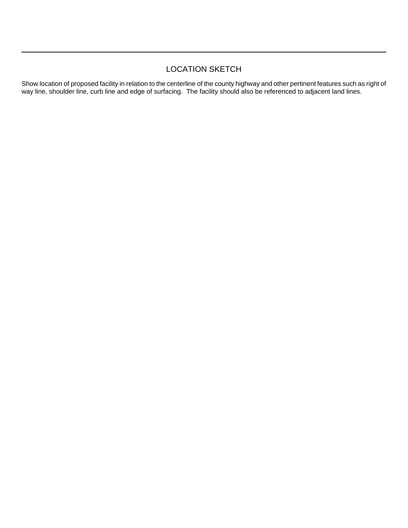## LOCATION SKETCH

Show location of proposed facility in relation to the centerline of the county highway and other pertinent features such as right of way line, shoulder line, curb line and edge of surfacing. The facility should also be referenced to adjacent land lines.